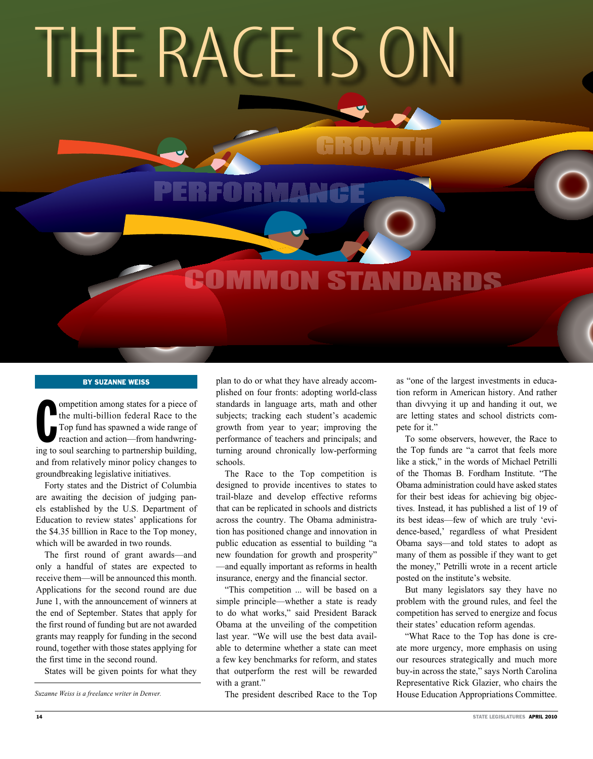# The Race Is On

ERFORMA

## **COMMON STANDA**

### By Suzanne Weiss

Impetition among states for a piece of<br>the multi-billion federal Race to the<br>Top fund has spawned a wide range of<br>reaction and action—from handwring-<br>ing to soul searching to partnership building, ompetition among states for a piece of the multi-billion federal Race to the Top fund has spawned a wide range of reaction and action—from handwringand from relatively minor policy changes to groundbreaking legislative initiatives.

Forty states and the District of Columbia are awaiting the decision of judging panels established by the U.S. Department of Education to review states' applications for the \$4.35 billlion in Race to the Top money, which will be awarded in two rounds.

The first round of grant awards—and only a handful of states are expected to receive them—will be announced this month. Applications for the second round are due June 1, with the announcement of winners at the end of September. States that apply for the first round of funding but are not awarded grants may reapply for funding in the second round, together with those states applying for the first time in the second round.

States will be given points for what they

plan to do or what they have already accomplished on four fronts: adopting world-class standards in language arts, math and other subjects; tracking each student's academic growth from year to year; improving the performance of teachers and principals; and turning around chronically low-performing schools.

The Race to the Top competition is designed to provide incentives to states to trail-blaze and develop effective reforms that can be replicated in schools and districts across the country. The Obama administration has positioned change and innovation in public education as essential to building "a new foundation for growth and prosperity" —and equally important as reforms in health insurance, energy and the financial sector.

"This competition ... will be based on a simple principle—whether a state is ready to do what works," said President Barack Obama at the unveiling of the competition last year. "We will use the best data available to determine whether a state can meet a few key benchmarks for reform, and states that outperform the rest will be rewarded with a grant."

The president described Race to the Top

as "one of the largest investments in education reform in American history. And rather than divvying it up and handing it out, we are letting states and school districts compete for it."

To some observers, however, the Race to the Top funds are "a carrot that feels more like a stick," in the words of Michael Petrilli of the Thomas B. Fordham Institute. "The Obama administration could have asked states for their best ideas for achieving big objectives. Instead, it has published a list of 19 of its best ideas—few of which are truly 'evidence-based,' regardless of what President Obama says—and told states to adopt as many of them as possible if they want to get the money," Petrilli wrote in a recent article posted on the institute's website.

But many legislators say they have no problem with the ground rules, and feel the competition has served to energize and focus their states' education reform agendas.

"What Race to the Top has done is create more urgency, more emphasis on using our resources strategically and much more buy-in across the state," says North Carolina Representative Rick Glazier, who chairs the *Suzanne Weiss is a freelance writer in Denver.* The president described Race to the Top House Education Appropriations Committee.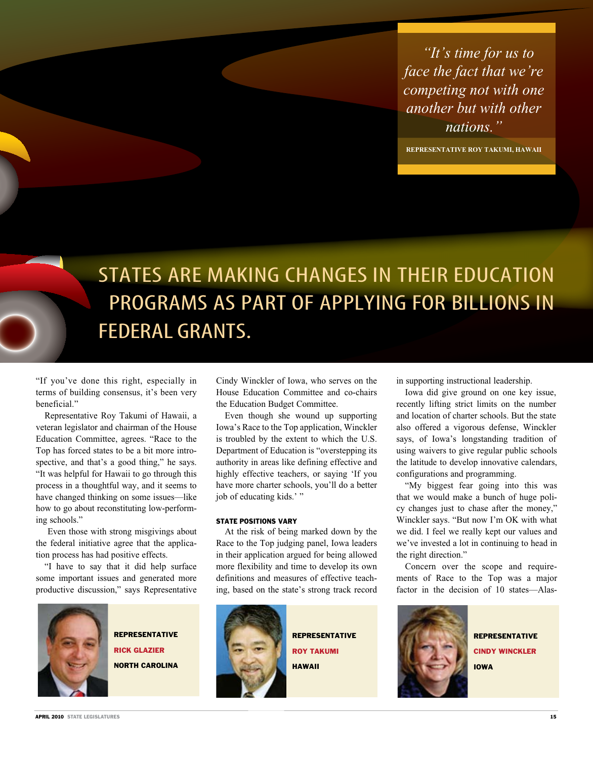The *"It's time for us to*"<br>*The Race the fact that we're*<br>*Competing not with on face the fact that we're competing not with one another but with other nations."*

**REPRESENTATIVE ROY TAKUMI, HAWAII**

## States are making changes in their education PROGRAMS AS PART OF APPLYING FOR BILLIONS IN federal grants.

"If you've done this right, especially in terms of building consensus, it's been very beneficial<sup>"</sup>

Representative Roy Takumi of Hawaii, a veteran legislator and chairman of the House Education Committee, agrees. "Race to the Top has forced states to be a bit more introspective, and that's a good thing," he says. "It was helpful for Hawaii to go through this process in a thoughtful way, and it seems to have changed thinking on some issues—like how to go about reconstituting low-performing schools."

 Even those with strong misgivings about the federal initiative agree that the application process has had positive effects.

"I have to say that it did help surface some important issues and generated more productive discussion," says Representative



**REPRESENTATIVE** Rick Glazier North Carolina

Cindy Winckler of Iowa, who serves on the House Education Committee and co-chairs the Education Budget Committee.

Even though she wound up supporting Iowa's Race to the Top application, Winckler is troubled by the extent to which the U.S. Department of Education is "overstepping its authority in areas like defining effective and highly effective teachers, or saying 'If you have more charter schools, you'll do a better job of educating kids.' "

#### STATE POSITIONS VARY

At the risk of being marked down by the Race to the Top judging panel, Iowa leaders in their application argued for being allowed more flexibility and time to develop its own definitions and measures of effective teaching, based on the state's strong track record



**REPRESENTATIVE** Roy Takumi Hawaii

in supporting instructional leadership.

Iowa did give ground on one key issue, recently lifting strict limits on the number and location of charter schools. But the state also offered a vigorous defense, Winckler says, of Iowa's longstanding tradition of using waivers to give regular public schools the latitude to develop innovative calendars, configurations and programming.

"My biggest fear going into this was that we would make a bunch of huge policy changes just to chase after the money," Winckler says. "But now I'm OK with what we did. I feel we really kept our values and we've invested a lot in continuing to head in the right direction."

Concern over the scope and requirements of Race to the Top was a major factor in the decision of 10 states—Alas-



**REPRESENTATIVE** Cindy Winckler Iowa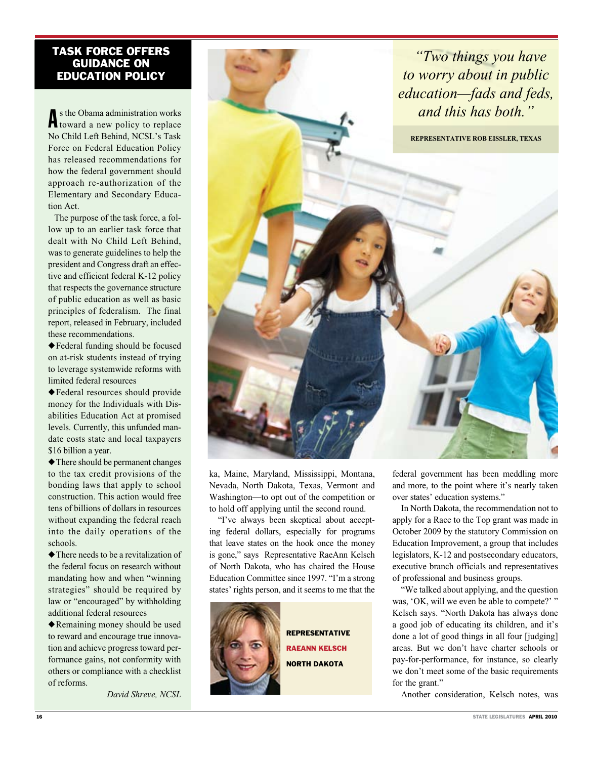## TASK FORCE OFFERS GUIDANCE ON EDUCATION POLICY

As the Obama administration works toward a new policy to replace No Child Left Behind, NCSL's Task Force on Federal Education Policy has released recommendations for how the federal government should approach re-authorization of the Elementary and Secondary Education Act.

 The purpose of the task force, a follow up to an earlier task force that dealt with No Child Left Behind, was to generate guidelines to help the president and Congress draft an effective and efficient federal K-12 policy that respects the governance structure of public education as well as basic principles of federalism. The final report, released in February, included these recommendations.

 $\blacklozenge$  Federal funding should be focused on at-risk students instead of trying to leverage systemwide reforms with limited federal resources

 $\blacklozenge$  Federal resources should provide money for the Individuals with Disabilities Education Act at promised levels. Currently, this unfunded mandate costs state and local taxpayers \$16 billion a year.

 $\blacklozenge$  There should be permanent changes to the tax credit provisions of the bonding laws that apply to school construction. This action would free tens of billions of dollars in resources without expanding the federal reach into the daily operations of the schools.

 $\triangle$ There needs to be a revitalization of the federal focus on research without mandating how and when "winning strategies" should be required by law or "encouraged" by withholding additional federal resources

 $\blacklozenge$  Remaining money should be used to reward and encourage true innovation and achieve progress toward performance gains, not conformity with others or compliance with a checklist of reforms.

*David Shreve, NCSL*



ka, Maine, Maryland, Mississippi, Montana, Nevada, North Dakota, Texas, Vermont and Washington—to opt out of the competition or to hold off applying until the second round.

"I've always been skeptical about accepting federal dollars, especially for programs that leave states on the hook once the money is gone," says Representative RaeAnn Kelsch of North Dakota, who has chaired the House Education Committee since 1997. "I'm a strong states' rights person, and it seems to me that the



**REPRESENTATIVE** RaeAnn Kelsch North Dakota

federal government has been meddling more and more, to the point where it's nearly taken over states' education systems."

In North Dakota, the recommendation not to apply for a Race to the Top grant was made in October 2009 by the statutory Commission on Education Improvement, a group that includes legislators, K-12 and postsecondary educators, executive branch officials and representatives of professional and business groups.

"We talked about applying, and the question was, 'OK, will we even be able to compete?' " Kelsch says. "North Dakota has always done a good job of educating its children, and it's done a lot of good things in all four [judging] areas. But we don't have charter schools or pay-for-performance, for instance, so clearly we don't meet some of the basic requirements for the grant."

Another consideration, Kelsch notes, was